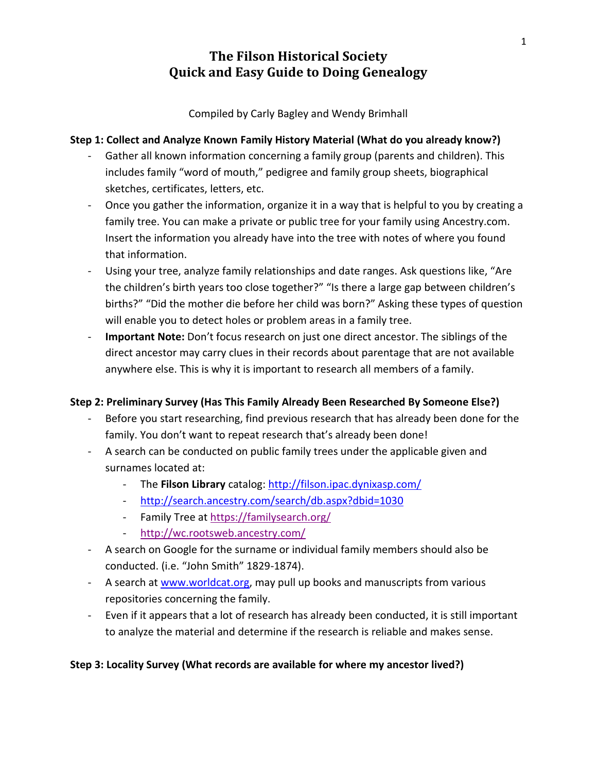Compiled by Carly Bagley and Wendy Brimhall

#### **Step 1: Collect and Analyze Known Family History Material (What do you already know?)**

- Gather all known information concerning a family group (parents and children). This includes family "word of mouth," pedigree and family group sheets, biographical sketches, certificates, letters, etc.
- Once you gather the information, organize it in a way that is helpful to you by creating a family tree. You can make a private or public tree for your family using Ancestry.com. Insert the information you already have into the tree with notes of where you found that information.
- Using your tree, analyze family relationships and date ranges. Ask questions like, "Are the children's birth years too close together?" "Is there a large gap between children's births?" "Did the mother die before her child was born?" Asking these types of question will enable you to detect holes or problem areas in a family tree.
- Important Note: Don't focus research on just one direct ancestor. The siblings of the direct ancestor may carry clues in their records about parentage that are not available anywhere else. This is why it is important to research all members of a family.

### **Step 2: Preliminary Survey (Has This Family Already Been Researched By Someone Else?)**

- Before you start researching, find previous research that has already been done for the family. You don't want to repeat research that's already been done!
- A search can be conducted on public family trees under the applicable given and surnames located at:
	- The **Filson Library** catalog:<http://filson.ipac.dynixasp.com/>
	- <http://search.ancestry.com/search/db.aspx?dbid=1030>
	- Family Tree a[t https://familysearch.org/](https://familysearch.org/)
	- <http://wc.rootsweb.ancestry.com/>
- A search on Google for the surname or individual family members should also be conducted. (i.e. "John Smith" 1829-1874).
- A search at [www.worldcat.org,](http://www.worldcat.org/) may pull up books and manuscripts from various repositories concerning the family.
- Even if it appears that a lot of research has already been conducted, it is still important to analyze the material and determine if the research is reliable and makes sense.

### **Step 3: Locality Survey (What records are available for where my ancestor lived?)**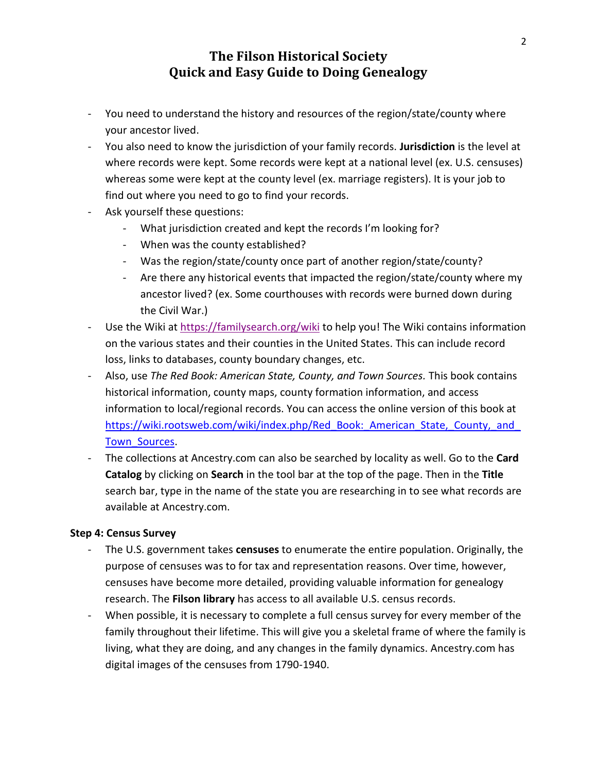- You need to understand the history and resources of the region/state/county where your ancestor lived.
- You also need to know the jurisdiction of your family records. **Jurisdiction** is the level at where records were kept. Some records were kept at a national level (ex. U.S. censuses) whereas some were kept at the county level (ex. marriage registers). It is your job to find out where you need to go to find your records.
- Ask yourself these questions:
	- What jurisdiction created and kept the records I'm looking for?
	- When was the county established?
	- Was the region/state/county once part of another region/state/county?
	- Are there any historical events that impacted the region/state/county where my ancestor lived? (ex. Some courthouses with records were burned down during the Civil War.)
- Use the Wiki at<https://familysearch.org/wiki> to help you! The Wiki contains information on the various states and their counties in the United States. This can include record loss, links to databases, county boundary changes, etc.
- Also, use *The Red Book: American State, County, and Town Sources.* This book contains historical information, county maps, county formation information, and access information to local/regional records. You can access the online version of this book at https://wiki.rootsweb.com/wiki/index.php/Red\_Book: American State, County, and [Town\\_Sources.](https://wiki.rootsweb.com/wiki/index.php/Red_Book:_American_State,_County,_and_Town_Sources)
- The collections at Ancestry.com can also be searched by locality as well. Go to the **Card Catalog** by clicking on **Search** in the tool bar at the top of the page. Then in the **Title** search bar, type in the name of the state you are researching in to see what records are available at Ancestry.com.

#### **Step 4: Census Survey**

- The U.S. government takes **censuses** to enumerate the entire population. Originally, the purpose of censuses was to for tax and representation reasons. Over time, however, censuses have become more detailed, providing valuable information for genealogy research. The **Filson library** has access to all available U.S. census records.
- When possible, it is necessary to complete a full census survey for every member of the family throughout their lifetime. This will give you a skeletal frame of where the family is living, what they are doing, and any changes in the family dynamics. Ancestry.com has digital images of the censuses from 1790-1940.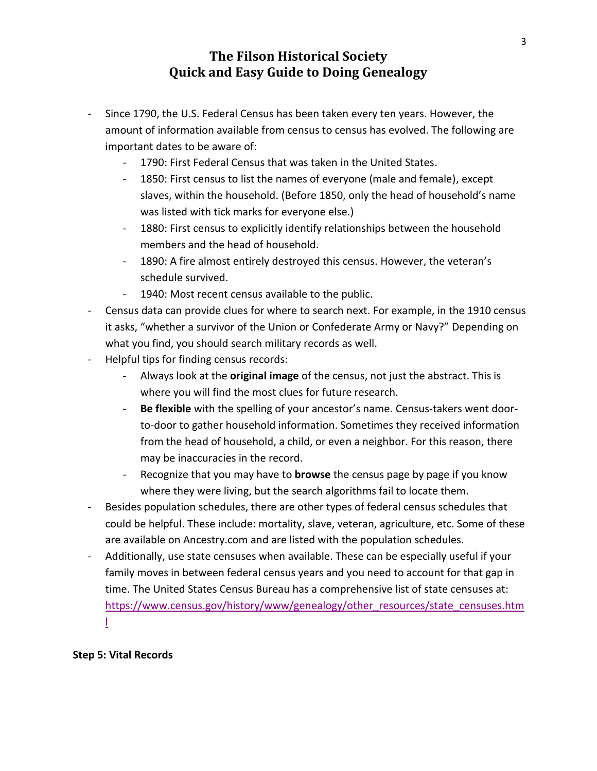- Since 1790, the U.S. Federal Census has been taken every ten years. However, the amount of information available from census to census has evolved. The following are important dates to be aware of:
	- 1790: First Federal Census that was taken in the United States.
	- 1850: First census to list the names of everyone (male and female), except slaves, within the household. (Before 1850, only the head of household's name was listed with tick marks for everyone else.)
	- 1880: First census to explicitly identify relationships between the household members and the head of household.
	- 1890: A fire almost entirely destroyed this census. However, the veteran's schedule survived.
	- 1940: Most recent census available to the public.
- Census data can provide clues for where to search next. For example, in the 1910 census it asks, "whether a survivor of the Union or Confederate Army or Navy?" Depending on what you find, you should search military records as well.
- Helpful tips for finding census records:
	- Always look at the **original image** of the census, not just the abstract. This is where you will find the most clues for future research.
	- **Be flexible** with the spelling of your ancestor's name. Census-takers went doorto-door to gather household information. Sometimes they received information from the head of household, a child, or even a neighbor. For this reason, there may be inaccuracies in the record.
	- Recognize that you may have to **browse** the census page by page if you know where they were living, but the search algorithms fail to locate them.
- Besides population schedules, there are other types of federal census schedules that could be helpful. These include: mortality, slave, veteran, agriculture, etc. Some of these are available on Ancestry.com and are listed with the population schedules.
- Additionally, use state censuses when available. These can be especially useful if your family moves in between federal census years and you need to account for that gap in time. The United States Census Bureau has a comprehensive list of state censuses at: [https://www.census.gov/history/www/genealogy/other\\_resources/state\\_censuses.htm](https://www.census.gov/history/www/genealogy/other_resources/state_censuses.html) [l](https://www.census.gov/history/www/genealogy/other_resources/state_censuses.html)

### **Step 5: Vital Records**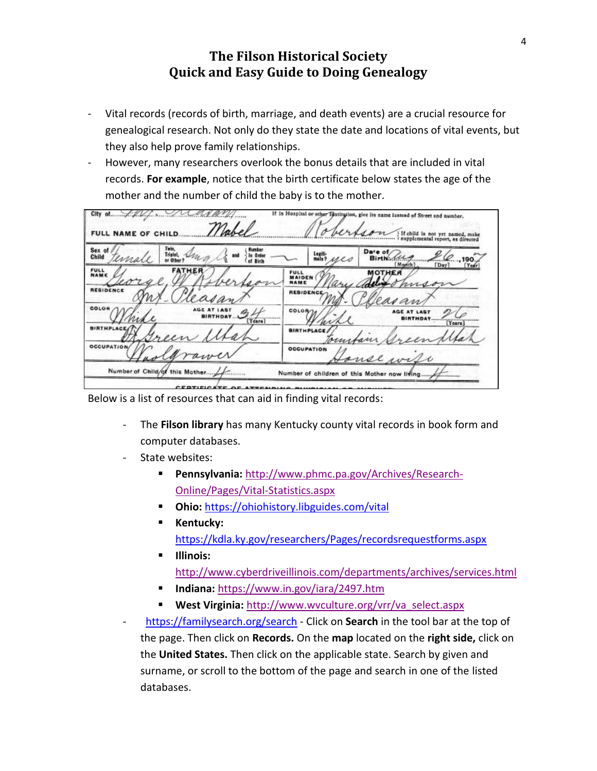- Vital records (records of birth, marriage, and death events) are a crucial resource for genealogical research. Not only do they state the date and locations of vital events, but they also help prove family relationships.
- However, many researchers overlook the bonus details that are included in vital records. **For example**, notice that the birth certificate below states the age of the mother and the number of child the baby is to the mother.

| FULL NAME OF CHILD.                                                                               | If child is not yet named, make<br>i supplemental report, as directed<br>                                                  |
|---------------------------------------------------------------------------------------------------|----------------------------------------------------------------------------------------------------------------------------|
| Fain.<br>Number<br>Sex o<br>Triplet,<br>la Orden<br>and .<br>Child<br>ima<br>or Other<br>of Birth | Date of<br>Legiti-<br>mate?<br>Birth.<br>ues<br>.190<br>desas anticipales della co-<br>Manth <sup>1</sup><br>[Day]<br>Year |
| <b>FATHER</b><br><b>FULL</b><br>NAM                                                               | <b>MOTHER</b><br><b>FULL</b><br>MAIDEN<br>NAME                                                                             |
| <b>REBIDENCE</b><br>COLOR                                                                         | <b>RESIDENCE-</b><br>an                                                                                                    |
| Years]<br>THPLACI                                                                                 | COLOR<br>AGE AT LAST<br>Tears]                                                                                             |
| OCCUPATION/                                                                                       | <b>BIRTHPLACE</b><br>Joun<br><b>OCCUPATION</b>                                                                             |
| Number of Child/of this Mother /                                                                  | onse wife<br>Number of children of this Mother now lifing                                                                  |

Below is a list of resources that can aid in finding vital records:

- The **Filson library** has many Kentucky county vital records in book form and computer databases.
- State websites:
	- **Pennsylvania:** [http://www.phmc.pa.gov/Archives/Research-](http://www.phmc.pa.gov/Archives/Research-Online/Pages/Vital-Statistics.aspx)[Online/Pages/Vital-Statistics.aspx](http://www.phmc.pa.gov/Archives/Research-Online/Pages/Vital-Statistics.aspx)
	- **Ohio:** <https://ohiohistory.libguides.com/vital>
	- **Kentucky:** <https://kdla.ky.gov/researchers/Pages/recordsrequestforms.aspx>
	- **Illinois:** <http://www.cyberdriveillinois.com/departments/archives/services.html>
	- **Indiana:** <https://www.in.gov/iara/2497.htm>
	- **West Virginia:** [http://www.wvculture.org/vrr/va\\_select.aspx](http://www.wvculture.org/vrr/va_select.aspx)
- <https://familysearch.org/search> Click on **Search** in the tool bar at the top of the page. Then click on **Records.** On the **map** located on the **right side,** click on the **United States.** Then click on the applicable state. Search by given and surname, or scroll to the bottom of the page and search in one of the listed databases.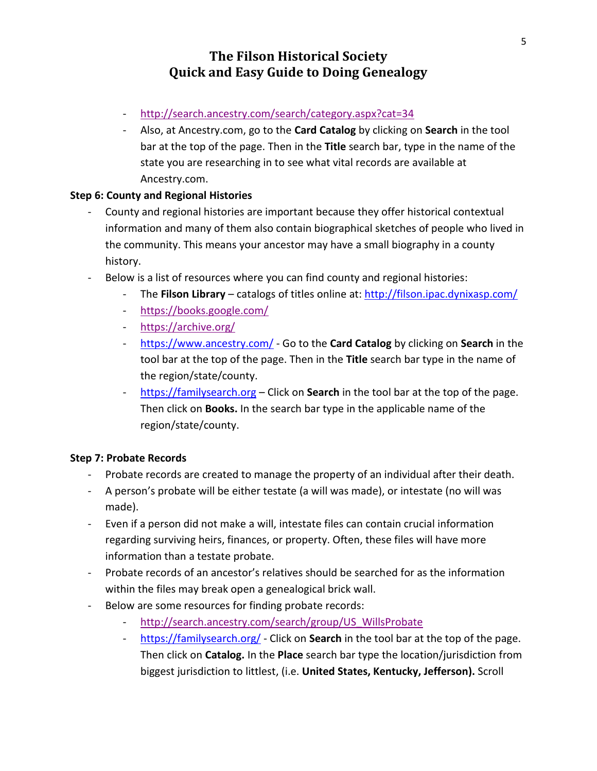- <http://search.ancestry.com/search/category.aspx?cat=34>
- Also, at Ancestry.com, go to the **Card Catalog** by clicking on **Search** in the tool bar at the top of the page. Then in the **Title** search bar, type in the name of the state you are researching in to see what vital records are available at Ancestry.com.

#### **Step 6: County and Regional Histories**

- County and regional histories are important because they offer historical contextual information and many of them also contain biographical sketches of people who lived in the community. This means your ancestor may have a small biography in a county history.
- Below is a list of resources where you can find county and regional histories:
	- The **Filson Library** catalogs of titles online at: <http://filson.ipac.dynixasp.com/>
	- <https://books.google.com/>
	- <https://archive.org/>
	- <https://www.ancestry.com/> Go to the **Card Catalog** by clicking on **Search** in the tool bar at the top of the page. Then in the **Title** search bar type in the name of the region/state/county.
	- [https://familysearch.org](https://familysearch.org/) Click on **Search** in the tool bar at the top of the page. Then click on **Books.** In the search bar type in the applicable name of the region/state/county.

#### **Step 7: Probate Records**

- Probate records are created to manage the property of an individual after their death.
- A person's probate will be either testate (a will was made), or intestate (no will was made).
- Even if a person did not make a will, intestate files can contain crucial information regarding surviving heirs, finances, or property. Often, these files will have more information than a testate probate.
- Probate records of an ancestor's relatives should be searched for as the information within the files may break open a genealogical brick wall.
- Below are some resources for finding probate records:
	- [http://search.ancestry.com/search/group/US\\_WillsProbate](http://search.ancestry.com/search/group/US_WillsProbate)
	- <https://familysearch.org/> Click on **Search** in the tool bar at the top of the page. Then click on **Catalog.** In the **Place** search bar type the location/jurisdiction from biggest jurisdiction to littlest, (i.e. **United States, Kentucky, Jefferson).** Scroll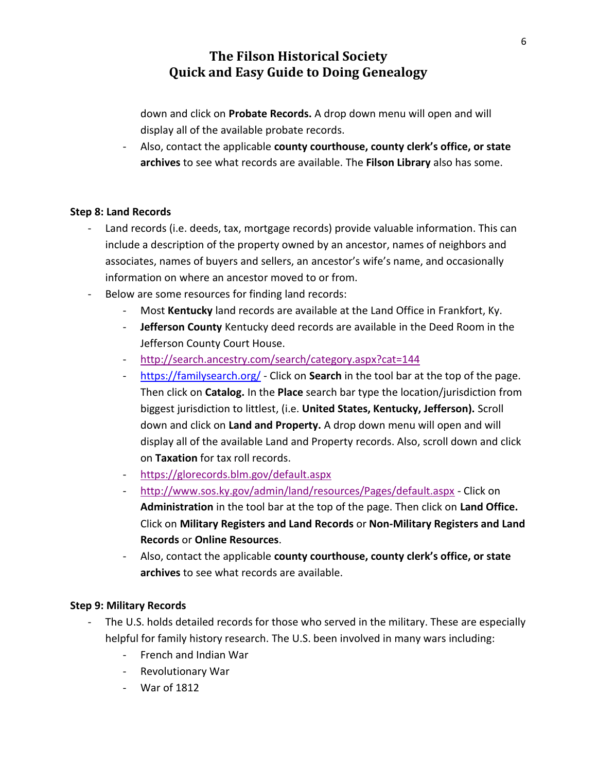down and click on **Probate Records.** A drop down menu will open and will display all of the available probate records.

- Also, contact the applicable **county courthouse, county clerk's office, or state archives** to see what records are available. The **Filson Library** also has some.

#### **Step 8: Land Records**

- Land records (i.e. deeds, tax, mortgage records) provide valuable information. This can include a description of the property owned by an ancestor, names of neighbors and associates, names of buyers and sellers, an ancestor's wife's name, and occasionally information on where an ancestor moved to or from.
- Below are some resources for finding land records:
	- Most **Kentucky** land records are available at the Land Office in Frankfort, Ky.
	- **Jefferson County** Kentucky deed records are available in the Deed Room in the Jefferson County Court House.
	- <http://search.ancestry.com/search/category.aspx?cat=144>
	- <https://familysearch.org/> Click on **Search** in the tool bar at the top of the page. Then click on **Catalog.** In the **Place** search bar type the location/jurisdiction from biggest jurisdiction to littlest, (i.e. **United States, Kentucky, Jefferson).** Scroll down and click on **Land and Property.** A drop down menu will open and will display all of the available Land and Property records. Also, scroll down and click on **Taxation** for tax roll records.
	- <https://glorecords.blm.gov/default.aspx>
	- <http://www.sos.ky.gov/admin/land/resources/Pages/default.aspx> Click on **Administration** in the tool bar at the top of the page. Then click on **Land Office.** Click on **Military Registers and Land Records** or **Non-Military Registers and Land Records** or **Online Resources**.
	- Also, contact the applicable **county courthouse, county clerk's office, or state archives** to see what records are available.

### **Step 9: Military Records**

- The U.S. holds detailed records for those who served in the military. These are especially helpful for family history research. The U.S. been involved in many wars including:
	- French and Indian War
	- Revolutionary War
	- War of 1812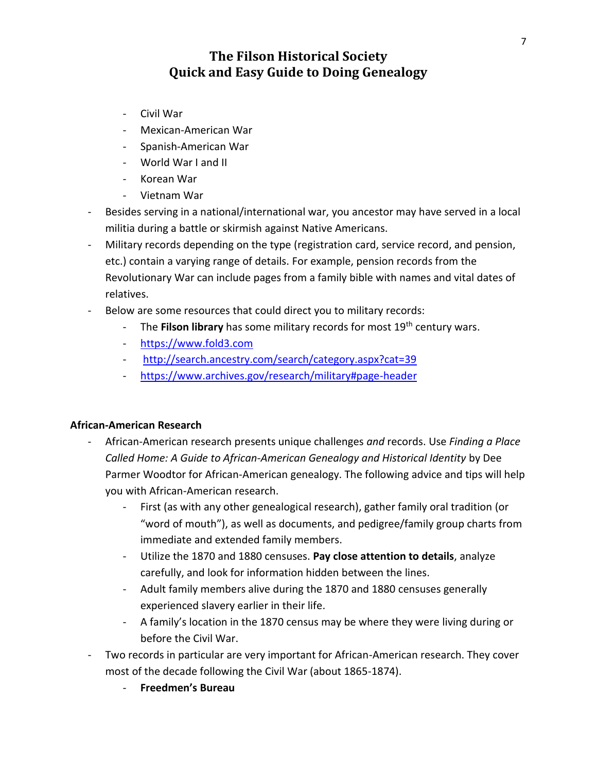- Civil War
- Mexican-American War
- Spanish-American War
- World War I and II
- Korean War
- Vietnam War
- Besides serving in a national/international war, you ancestor may have served in a local militia during a battle or skirmish against Native Americans.
- Military records depending on the type (registration card, service record, and pension, etc.) contain a varying range of details. For example, pension records from the Revolutionary War can include pages from a family bible with names and vital dates of relatives.
- Below are some resources that could direct you to military records:
	- The **Filson library** has some military records for most 19th century wars.
	- [https://www.fold3.com](https://www.fold3.com/)
	- <http://search.ancestry.com/search/category.aspx?cat=39>
	- <https://www.archives.gov/research/military#page-header>

#### **African-American Research**

- African-American research presents unique challenges *and* records. Use *Finding a Place Called Home: A Guide to African-American Genealogy and Historical Identity* by Dee Parmer Woodtor for African-American genealogy. The following advice and tips will help you with African-American research.
	- First (as with any other genealogical research), gather family oral tradition (or "word of mouth"), as well as documents, and pedigree/family group charts from immediate and extended family members.
	- Utilize the 1870 and 1880 censuses. **Pay close attention to details**, analyze carefully, and look for information hidden between the lines.
	- Adult family members alive during the 1870 and 1880 censuses generally experienced slavery earlier in their life.
	- A family's location in the 1870 census may be where they were living during or before the Civil War.
- Two records in particular are very important for African-American research. They cover most of the decade following the Civil War (about 1865-1874).
	- **Freedmen's Bureau**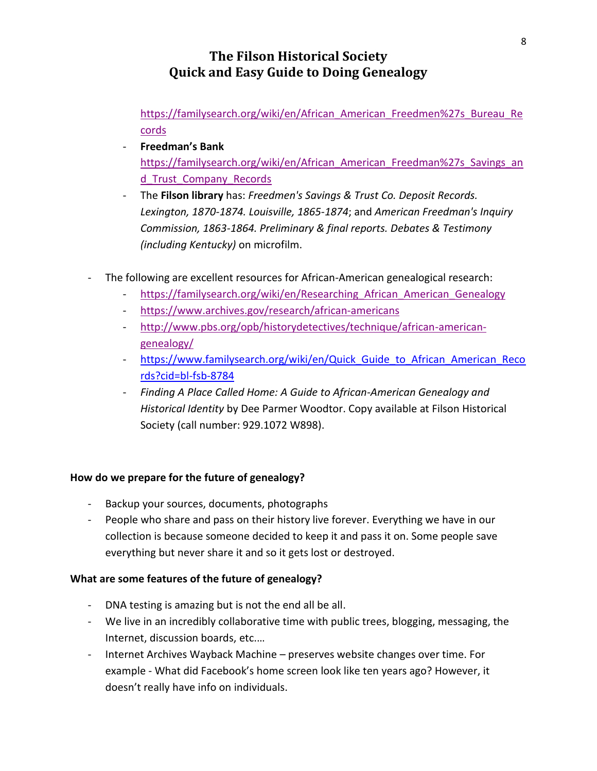[https://familysearch.org/wiki/en/African\\_American\\_Freedmen%27s\\_Bureau\\_Re](https://familysearch.org/wiki/en/African_American_Freedmen%27s_Bureau_Records) [cords](https://familysearch.org/wiki/en/African_American_Freedmen%27s_Bureau_Records)

- **Freedman's Bank**  [https://familysearch.org/wiki/en/African\\_American\\_Freedman%27s\\_Savings\\_an](https://familysearch.org/wiki/en/African_American_Freedman%27s_Savings_and_Trust_Company_Records) [d\\_Trust\\_Company\\_Records](https://familysearch.org/wiki/en/African_American_Freedman%27s_Savings_and_Trust_Company_Records)
- The **Filson library** has: *Freedmen's Savings & Trust Co. Deposit Records. Lexington, 1870-1874. Louisville, 1865-1874*; and *American Freedman's Inquiry Commission, 1863-1864. Preliminary & final reports. Debates & Testimony (including Kentucky)* on microfilm.
- The following are excellent resources for African-American genealogical research:
	- https://familysearch.org/wiki/en/Researching African American Genealogy
	- <https://www.archives.gov/research/african-americans>
	- [http://www.pbs.org/opb/historydetectives/technique/african-american](http://www.pbs.org/opb/historydetectives/technique/african-american-genealogy/)[genealogy/](http://www.pbs.org/opb/historydetectives/technique/african-american-genealogy/)
	- https://www.familysearch.org/wiki/en/Quick Guide to African American Reco [rds?cid=bl-fsb-8784](https://www.familysearch.org/wiki/en/Quick_Guide_to_African_American_Records?cid=bl-fsb-8784)
	- *Finding A Place Called Home: A Guide to African-American Genealogy and Historical Identity* by Dee Parmer Woodtor. Copy available at Filson Historical Society (call number: 929.1072 W898).

### **How do we prepare for the future of genealogy?**

- Backup your sources, documents, photographs
- People who share and pass on their history live forever. Everything we have in our collection is because someone decided to keep it and pass it on. Some people save everything but never share it and so it gets lost or destroyed.

#### **What are some features of the future of genealogy?**

- DNA testing is amazing but is not the end all be all.
- We live in an incredibly collaborative time with public trees, blogging, messaging, the Internet, discussion boards, etc.…
- Internet Archives Wayback Machine preserves website changes over time. For example - What did Facebook's home screen look like ten years ago? However, it doesn't really have info on individuals.